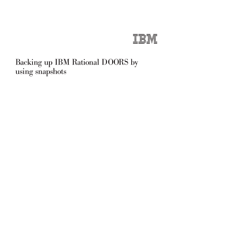

# Backing up IBM Rational DOORS by using snapshots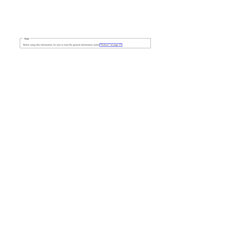**Note**

Before using this information, be sure to read the general information under ["Notices" on page 17.](#page-20-0)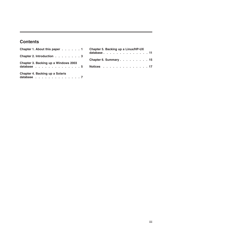# **Contents**

| Chapter 1. About this paper 1 Chapter 5. Backing up a Linux/HP-UX | database11            |
|-------------------------------------------------------------------|-----------------------|
| Chapter 2. Introduction 3                                         | Chapter 6. Summary 15 |
| Chapter 3. Backing up a Windows 2003                              |                       |
| database $\ldots$ , $\ldots$ , $\ldots$ , $\ldots$ , 5            | Notices 17            |
| <b>Chapter 4. Backing up a Solaris</b>                            |                       |
| database7                                                         |                       |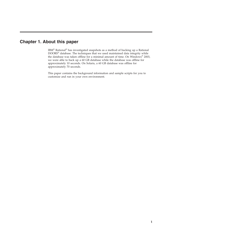# <span id="page-4-0"></span>**Chapter 1. About this paper**

IBM® Rational® has investigated snapshots as a method of backing up a Rational DOORS® database. The techniques that we used maintained data integrity while the database was taken offline for a minimal amount of time. On Windows® 2003, we were able to back up a 60 GB database while the database was offline for approximately 10 seconds. On Solaris, a 60 GB database was offline for approximately 70 seconds.

This paper contains the background information and sample scripts for you to customize and run in your own environment.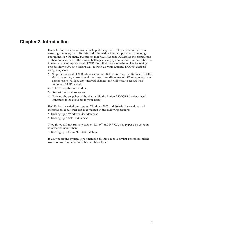### <span id="page-6-0"></span>**Chapter 2. Introduction**

Every business needs to have a backup strategy that strikes a balance between ensuring the integrity of its data and minimizing the disruption to its ongoing operations. For the many businesses that have Rational DOORS as the cornerstone of their success, one of the major challenges facing system administrators is how to integrate backing up Rational DOORS into their work schedules. The following process shows you an efficient way to back up your Rational DOORS database using snapshots.

- 1. Stop the Rational DOORS database server. Before you stop the Rational DOORS database server, make sure all your users are disconnected. When you stop the server, users will lose any unsaved changes and will need to restart their Rational DOORS client.
- 2. Take a snapshot of the data.
- 3. Restart the database server.
- 4. Back up the snapshot of the data while the Rational DOORS database itself continues to be available to your users.

IBM Rational carried out tests on Windows 2003 and Solaris. Instructions and information about each test is contained in the following sections:

- Backing up a Windows 2003 database
- Backing up a Solaris database

Though we did not run any tests on  $Linux^{\circ}$  and HP-UX, this paper also contains information about them:

• Backing up a Linux/HP-UX database

If your operating system is not included in this paper, a similar procedure might work for your system, but it has not been tested.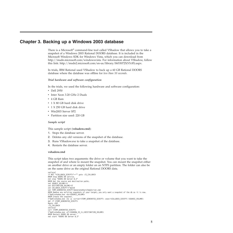### <span id="page-8-0"></span>**Chapter 3. Backing up a Windows 2003 database**

There is a Microsoft® command-line tool called VShadow that allows you to take a snapshot of a Windows 2003 Rational DOORS database. It is included in the Microsoft Windows SDK for Windows Vista, which you can download from http://msdn.microsoft.com/windowsvista. For information about VShadow, follow this link: http://msdn2.microsoft.com/en-us/library/bb530725(VS.85).aspx.

In trials, IBM Rational used VShadow to back up a 60 GB Rational DOORS database where the database was offline for *less than 10 seconds*.

#### *Trial hardware and software configuration*

In the trials, we used the following hardware and software configuration:

- $\cdot$  Dell 2950
- Inter Xeon 3.20 GHz 2 Duals
- 4 GB Ram
- 1 X 80 GB hard disk drive
- 1 X 250 GB hard disk drive
- Win2003 Server SP2
- Partition size used: 220 GB

#### *Sample script*

This sample script (**vshadow.cmd**):

- 1. Stops the database server.
- 2. Deletes any old versions of the snapshot of the database.
- 3. Runs VShadow.exe to take a snapshot of the database.
- 4. Restarts the database server.

#### **vshadow.cmd**

This script takes two arguments: the drive or volume that you want to take the snapshot of and where to mount the snapshot. You can mount the snapshot either on another drive or an empty folder on an NTFS partition. The folder can also be on the same drive as the original Rational DOORS data.

```
setlocal
if NOT "%CALLBACK SCRIPT%"=="" goto :IS CALLBACK
@REM Stop DOORS DB service.
net stop "DOORS DB Server 8.3"
@REM Get the source and destination paths.
set SOURCE_VOLUME=%1
set DESTINATION VOLUME=%2
set CALLBACK SCRIPT=%~dpnx0
set TEMP_GENERATED_SCRIPT=GeneratedVarsTempScript.cmd
@REM Remove any existing snapshots of your target; you only want a snapshot of the db as it is now.
%~dp0\vshadow.exe -do=%SOURCE_VOLUME%
@REM Create the snapshot.
%~dp0\vshadow.exe -nw -p -script=%TEMP GENERATED SCRIPT% -exec=%CALLBACK SCRIPT% %SOURCE VOLUME%
del /f %TEMP_GENERATED_SCRIPT%
@goto :EOF
:IS_CALLBACK
setlocal
call %TEMP GENERATED SCRIPT%
%~dp0\vshadow.exe -el=%SHADOW_ID_1%,%DESTINATION_VOLUME%
@REM Restart DOORS DB server.
net start "DOORS DB Server 8.3"
```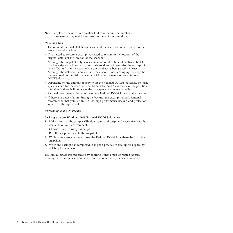**Note:** Scripts are included in a smaller font to minimize the number of unnecessary line, which can result in the script not working.

#### *Hints and tips*

- The original Rational DOORS database and the snapshot must both be on the same physical machine.
- v If you need to restore a backup, you need to restore to the location of the original data, not the location of the snapshot.
- v Although the snapshot only takes a small amount of time, it is always best to run the script out of hours. If your business does not recognize the concept of "out of hours", run the script when the database is being used the least. Although the database is only offline for a short time, backing up the snapshot places a load on the disk that can affect the performance of your Rational DOORS database.
- v Depending on the amount of activity on the Rational DOORS database, the disk space needed for the snapshot should be between 10% and 20% of the partition's total size. If there is little usage, the disk space can be even smaller.
- v Rational recommends that you have only Rational DOORS data on the partition.
- If there is a power failure during the backup, the backup will fail. Rational recommends that you use an APC RS high performance backup and protection system, or the equivalent.

#### *Performing your own backup*

#### **Backing up your Windows 2003 Rational DOORS database:**

- 1. Make a copy of the sample VShadow command script and customize it to the demands of your environment.
- 2. Choose a time to run your script.
- 3. Run the script and create the snapshot.
- 4. While your users continue to use the Rational DOORS database, back up the snapshot.
- 5. When the backup has completed, it is good practice to free up disk space by deleting the snapshot.

You can automate this procedure by splitting it into a pair of related scripts, running one as a pre-snapshot script, and the other as a post-snapshot script.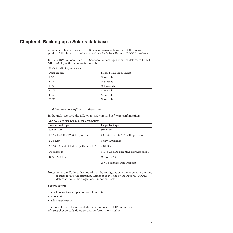# <span id="page-10-0"></span>**Chapter 4. Backing up a Solaris database**

A command-line tool called UFS Snapshot is available as part of the Solaris product. With it, you can take a snapshot of a Solaris Rational DOORS database.

In trials, IBM Rational used UFS Snapshot to back up a range of databases from 1 GB to 60 GB, with the following results:

*Table 1. UFS Snapshot times*

| Database size | Elapsed time for snapshot |
|---------------|---------------------------|
| $1$ GB        | 10 seconds                |
| $5$ GB        | 10 seconds                |
| $10$ GB       | 10.2 seconds              |
| $20$ GB       | 57 seconds                |
| $40$ GB       | 64 seconds                |
| 60 GB         | 70 seconds                |

#### *Trial hardware and software configuration*

In the trials, we used the following hardware and software configuration:

|  |  | Table 2. Hardware and software configuration |
|--|--|----------------------------------------------|
|  |  |                                              |

| Smaller back ups                            | Larger backups                              |
|---------------------------------------------|---------------------------------------------|
| Sun SFV125                                  | Sun V240                                    |
| 1 X 1 GHz UltraSPARCIIIi processor          | 2 X 1.5 GHz UltraSPARCIIIi processor        |
| 2 GB Ram                                    | 4-way Superscalar                           |
| 2 X 73 GB hard disk drive (software raid 1) | 4 GB Ram                                    |
| OS Solaris 10                               | 4 X 73 GB hard disk drive (software raid 1) |
| 44 GB Partition                             | OS Solaris 10                               |
|                                             | 200 GB Software Raid Partition              |

**Note:** As a rule, Rational has found that the configuration is not crucial to the time it takes to take the snapshot. Rather, it is the size of the Rational DOORS database that is the single most important factor.

#### *Sample scripts*

The following two scripts are sample scripts:

- doors.txt
- v **ufs\_snapshot.txt**

The doors.txt script stops and starts the Rational DOORS server, and ufs\_snapshot.txt calls doors.txt and performs the snapshot.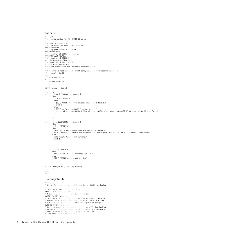```
doors.txt
```

```
#!/bin/sh
# Start/stop script for UNIX DOORS DB server
# Set config parameters
# Set the DOORS username, normally doors
DOORSUSER=doors
# Set tcp port server will run on
PORTNUMBER=36677
# Set location of DOORS installation
DOORSHOME=/path/to/doors
# Set location of DOORS data
SERVERDATA=/path/to/doorsdata
# Add DOORS bin folder to path
PATH=$PATH:$DOORSHOME/bin
export PORTNUMBER DOORSHOME LOCALDATA SERVERDATA PATH
# On Solaris we need to use the right echo, shell built in doesn't support -n
if [ `uname` = SunOS ]
then
 ECHO=/usr/ucb/echo
else
 ECHO=/usr/bin/echo
fi
ERSPID=`pgrep -x doorsd`
case $1 in
start) if [ -x $DOORSHOME/bin/doorsd ]
        then
          if [ -n "$ERSPID" ]
          then
            $ECHO "DOORS DB server already running: PID $ERSPID"
            exit 1
          else
            $ECHO -n "Starting DOORS Database Server: "
            su doorsd -c "$DOORSHOME/bin/doorsd -inactiveClientPoll 3600 > /dev/null &" && echo started || echo failed
          fi
        fi
        ;;
stop) if [ -x $DOORSHOME/bin/dbadmin ]
        then
        if [ -n "$ERSPID" ]
        then
         $ECHO -n "Stopping Doors Database Server PID $ERSPID: "
          su $DOORSUSER -c "$DOORSHOME/bin/dbadmin -d $PORTNUMBER@localhost -K" && echo stopped || echo failed
        else
          echo "DOORS Database not running."
          exit 1
        fi
      fi
        ;;
status) if [ -n "$ERSPID" ]
        then
          $ECHO "DOORS Database running: PID $ERSPID"
        else
          $ECHO "DOORS Database not running"
        fi
        ;;
*) echo "Useage: $0 [start|stop|status]"
        ;;
esac
exit 0
ufs_snapshot.txt
#!/bin/sh
# Script for creating Solaris UFS snapshot of DOORS for backup
```

```
# Location of DOORS start/stop script
DOORS_SCRIPT=/path/to/script
# Mount point of UFS file system to be snapped
BACKUP_VOLUME=/mount/point
# Location of backing store, this must be on a partition with
# enough space to hold the changes 10-20% of the size of the
# partition being snapped is common but depends on useage
BACKING_STORE=/path/to/buffer_file
# Where to mount the snapshot, it is this we will then back up,
# be aware that any backup will have this path so a restore will
# need to be relocated to the appropriate location
BACKUP_MOUNT=/backup/mount/point
```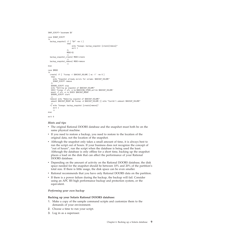```
SNAP_SCRIPT=`basename $0`
case $SNAP_SCRIPT
in
 backup_snapshot) if [ "$#" -ne 1 ]
                    then
                         echo "Useage: backup_snapshot [create|remove]"
                         exit 1
                    fi
                    MODE=$1
  ;;
backup_snapshot_create) MODE=create
                    ;;
  backup snapshot remove) MODE=remove
                    ;;
esac
case $MODE
in
 create) if [ `fssnap -i $BACKUP VOLUME | wc -l` -ne 0 ]
  then
     echo "Snapshot already exists for volume: $BACKUP_VOLUME"
    $SNAP_SCRIPT remove
   fi
   $DOORS_SCRIPT stop
   echo "Setting up snapshot of $BACKUP_VOLUME"
   VDEV=`fssnap -F ufs -o bs=$BACKING_STORE,unlink $BACKUP_VOLUME`
mount -F ufs -o ro $VDEV $BACKUP_MOUNT
   $DOORS_SCRIPT start
   ;;
  remove) echo "Removing snapshot of $BACKUP_VOLUME"
   umount $BACKUP_MOUNT && fssnap -d $BACKUP_VOLUME || echo "Couldn't unmount $BACKUP_VOLUME"
  ;;
*) echo "Useage: backup_snapshot [create|remove]"
     exit 1
     ;;
esac
```
exit 0

#### *Hints and tips*

- v The original Rational DOORS database and the snapshot must both be on the same physical machine.
- v If you need to restore a backup, you need to restore to the location of the original data, not the location of the snapshot.
- v Although the snapshot only takes a small amount of time, it is always best to run the script out of hours. If your business does not recognize the concept of "out of hours", run the script when the database is being used the least. Although the database is only offline for a short time, backing up the snapshot places a load on the disk that can affect the performance of your Rational DOORS database.
- v Depending on the amount of activity on the Rational DOORS database, the disk space needed for the snapshot should be between 10% and 20% of the partition's total size. If there is little usage, the disk space can be even smaller.
- v Rational recommends that you have only Rational DOORS data on the partition.
- If there is a power failure during the backup, the backup will fail. Consider using an APC RS high performance backup and protection system, or the equivalent.

#### *Performing your own backup*

#### **Backing up your Solaris Rational DOORS database:**

- 1. Make a copy of the sample command scripts and customize them to the demands of your environment.
- 2. Choose a time to run your script.
- 3. Log in as a superuser.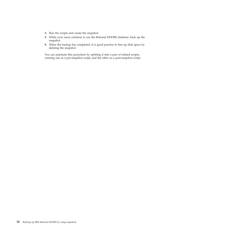- 4. Run the scripts and create the snapshot.
- 5. While your users continue to use the Rational DOORS database, back up the snapshot.
- 6. When the backup has completed, it is good practice to free up disk space by deleting the snapshot.

You can automate this procedure by splitting it into a pair of related scripts, running one as a pre-snapshot script, and the other as a post-snapshot script.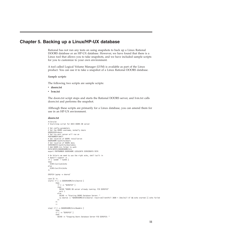### <span id="page-14-0"></span>**Chapter 5. Backing up a Linux/HP-UX database**

Rational has not run any tests on using snapshots to back up a Linux Rational DOORS database or an HP-UX database. However, we have found that there is a Linux tool that allows you to take snapshots, and we have included sample scripts for you to customize to your own environment.

A tool called Logical Volume Manager (LVM) is available as part of the Linux product. You can use it to take a snapshot of a Linux Rational DOORS database.

#### *Sample scripts*

The following two scripts are sample scripts:

- v **doors.txt**
- **lvm.txt**

The doors.txt script stops and starts the Rational DOORS server, and lvm.txt calls doors.txt and performs the snapshot.

Although these scripts are primarily for a Linux database, you can amend them for use in an HP-UX environment.

#### **doors.txt**

```
#!/bin/sh
# Start/stop script for UNIX DOORS DB server
# Set config parameters
# Set the DOORS username, normally doors
DOORSUSER=doors
# Set tcp port server will run on
PORTNUMBER=36677
# Set location of DOORS installation
DOORSHOME=/path/to/doors
# Set location of DOORS data
SERVERDATA=/path/to/doorsdata
# Add DOORS bin folder to path
PATH=$PATH:$DOORSHOME/bin
export PORTNUMBER DOORSHOME LOCALDATA SERVERDATA PATH
# On Solaris we need to use the right echo, shell built in
# doesn't support -n
if [ \therefore \therefore \therefore \therefore \therefore \therefore \therefore \therefore \therefore \therefore \therefore \therefore \therefore \therefore \therefore \therefore \therefore \therefore \therefore \therefore \therefore \therefore \therefore \therefore \therefore \therefore \therefore \therefore \therefore \therefore \therefore \therefore \therefore \therefore \therefore \thereforethen
  ECHO=/usr/ucb/echo
else
  ECHO=/usr/bin/echo
fi
ERSPID=`pgrep -x doorsd`
case $1 in
start) if [ -x $DOORSHOME/bin/doorsd ]
          then
             if [ -n "$ERSPID" ]
             then
               $ECHO "DOORS DB server already running: PID $ERSPID"
                exit 1
             else
               $ECHO -n "Starting DOORS Database Server: "
                su doorsd -c "$DOORSHOME/bin/doorsd -inactiveClientPoll 3600 > /dev/null &" && echo started || echo failed
             fi
          fi
          ;;
stop) if [ -x $DOORSHOME/bin/dbadmin ]
           then
           if [ -n "$ERSPID" ]
           then
             $ECHO -n "Stopping Doors Database Server PID $ERSPID: "
```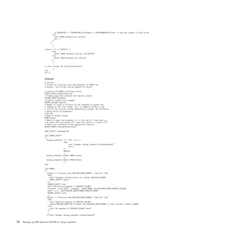```
su $DOORSUSER -c "$DOORSHOME/bin/dbadmin -d $PORTNUMBER@localhost -K" && echo stopped || echo failed
        else
         echo "DOORS Database not running."
         exit 1
        fi
     fi
        ;;
status) if [ -n "$ERSPID" ]
        then
         $ECHO "DOORS Database running: PID $ERSPID"
        else
         $ECHO "DOORS Database not running"
        fi
        ;;
*) echo "Useage: $0 [start|stop|status]"
       ;;
esac
exit 0
```
#### **lvm.txt**

```
#!/bin/sh
# Script for creating Linux LVM snapshots of DOORS for
# backup - this script can be adapted for HP-UX.
# Location of DOORS start/stop script
DOORS_SCRIPT=/path/to/script
# Volume group that contains the logical volume
VOLUME_GROUP=VolGrp01
# Logical volume to be snapped
BACKUP_VOLUME=LogVol01
# Amount of space to allocate to the snapshot to buffer the
# changes on the live volume. This is commonly 10-20% of the
# size of the original volume depending on useage. The following
# would assign 10 gigabytes.
SIZE=10G
# Name of backup volume
NAME=backup
# Where to mount the snapshot, it is this we will then back up,
# be aware that any backup will have this path so a restore will
# need to be relocated to the appropriate location
BACKUP_MOUNT=/backup/mount/point
SNAP_SCRIPT=`basename $0`
case $SNAP_SCRIPT
in
 backup_snapshot) if [ "$#" -ne 1 ]
                   then
                         echo "Useage: backup_snapshot [create|remove]"
                         exit 1
                   fi
                   MODE=$1
                    ;;
  backup_snapshot_create) MODE=create
                   ;;
  backup_snapshot_remove) MODE=remove
                   ;;
esac
case $MODE
in
 create) if lvdisplay /dev/$VOLUME_GROUP/$NAME > /dev/null 2>&1
  then
     echo "Snapshot already exists for volume: $BACKUP VOLUME"
     $SNAP_SCRIPT remove
   fi
  $DOORS_SCRIPT stop
  echo "Setting up snapshot of $BACKUP_VOLUME"
  lvcreate --size $SIZE --snapshot --name $NAME /dev/$VOLUME_GROUP/$BACKUP_VOLUME
  mount -o ro /dev/$VOLUME_GROUP/$NAME $BACKUP_MOUNT
  $DOORS_SCRIPT start
  ;;
  remove) if lvdisplay /dev/$VOLUME_GROUP/$NAME > /dev/null 2>&1
  then
     echo "Removing snapshot of $BACKUP_VOLUME"
     umount $BACKUP_MOUNT && lvremove /dev/$VOLUME_GROUP/$NAME || echo "Couldn't unmount $NAME"
  else
     echo "No snapshot of $BACKUP_VOLUME found"
  fi
  ;;
*) echo "Useage: backup_snapshot [create|remove]"
```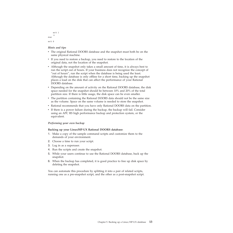```
exit 1
     ;;
esac
```
exit 0

#### *Hints and tips*

- The original Rational DOORS database and the snapshot must both be on the same physical machine.
- v If you need to restore a backup, you need to restore to the location of the original data, not the location of the snapshot.
- v Although the snapshot only takes a small amount of time, it is always best to run the script out of hours. If your business does not recognize the concept of "out of hours", run the script when the database is being used the least. Although the database is only offline for a short time, backing up the snapshot places a load on the disk that can affect the performance of your Rational DOORS database.
- v Depending on the amount of activity on the Rational DOORS database, the disk space needed for the snapshot should be between 10% and 20% of the total partition size. If there is little usage, the disk space can be even smaller.
- The partition containing the Rational DOORS data should not be the same size as the volume. Space on the same volume is needed to store the snapshot.
- v Rational recommends that you have only Rational DOORS data on the partition.
- If there is a power failure during the backup, the backup will fail. Consider using an APC RS high performance backup and protection system, or the equivalent.

#### *Performing your own backup*

#### **Backing up your Linux/HP-UX Rational DOORS database:**

- 1. Make a copy of the sample command scripts and customize them to the demands of your environment.
- 2. Choose a time to run your script.
- 3. Log in as a superuser.
- 4. Run the scripts and create the snapshot.
- 5. While your users continue to use the Rational DOORS database, back up the snapshot.
- 6. When the backup has completed, it is good practice to free up disk space by deleting the snapshot.

You can automate this procedure by splitting it into a pair of related scripts, running one as a pre-snapshot script, and the other as a post-snapshot script.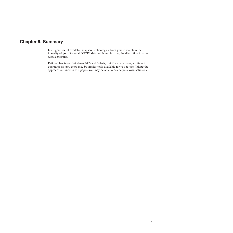# <span id="page-18-0"></span>**Chapter 6. Summary**

Intelligent use of available snapshot technology allows you to maintain the integrity of your Rational DOORS data while minimizing the disruption to your work schedules.

Rational has tested Windows 2003 and Solaris, but if you are using a different operating system, there may be similar tools available for you to use. Taking the approach outlined in this paper, you may be able to devise your own solutions.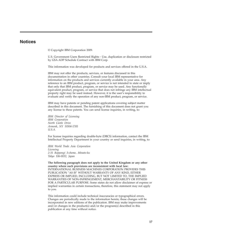### <span id="page-20-0"></span>**Notices**

© Copyright IBM Corporation 2009.

U.S. Government Users Restricted Rights - Use, duplication or disclosure restricted by GSA ADP Schedule Contract with IBM Corp.

This information was developed for products and services offered in the U.S.A.

IBM may not offer the products, services, or features discussed in this documentation in other countries. Consult your local IBM representative for information on the products and services currently available in your area. Any reference to an IBM product, program, or service is not intended to state or imply that only that IBM product, program, or service may be used. Any functionally equivalent product, program, or service that does not infringe any IBM intellectual property right may be used instead. However, it is the user's responsibility to evaluate and verify the operation of any non-IBM product, program, or service.

IBM may have patents or pending patent applications covering subject matter described in this document. The furnishing of this document does not grant you any license to these patents. You can send license inquiries, in writing, to:

*IBM Director of Licensing IBM Corporation North Castle Drive Armonk, NY 10504-1785 U.S.A.*

For license inquiries regarding double-byte (DBCS) information, contact the IBM Intellectual Property Department in your country or send inquiries, in writing, to:

*IBM World Trade Asia Corporation Licensing 2-31 Roppongi 3-chome, Minato-ku Tokyo 106-0032, Japan*

**The following paragraph does not apply to the United Kingdom or any other country where such provisions are inconsistent with local law:** INTERNATIONAL BUSINESS MACHINES CORPORATION PROVIDES THIS PUBLICATION ″AS IS″ WITHOUT WARRANTY OF ANY KIND, EITHER EXPRESS OR IMPLIED, INCLUDING, BUT NOT LIMITED TO, THE IMPLIED WARRANTIES OF NON-INFRINGEMENT, MERCHANTABILITY OR FITNESS FOR A PARTICULAR PURPOSE. Some states do not allow disclaimer of express or implied warranties in certain transactions, therefore, this statement may not apply to you.

This information could include technical inaccuracies or typographical errors. Changes are periodically made to the information herein; these changes will be incorporated in new editions of the publication. IBM may make improvements and/or changes in the product(s) and/or the program(s) described in this publication at any time without notice.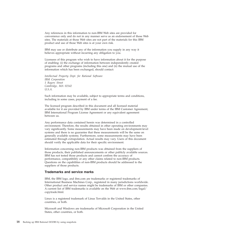Any references in this information to non-IBM Web sites are provided for convenience only and do not in any manner serve as an endorsement of those Web sites. The materials at those Web sites are not part of the materials for this IBM product and use of those Web sites is at your own risk.

IBM may use or distribute any of the information you supply in any way it believes appropriate without incurring any obligation to you.

Licensees of this program who wish to have information about it for the purpose of enabling: (i) the exchange of information between independently created programs and other programs (including this one) and (ii) the mutual use of the information which has been exchanged, should contact:

*Intellectual Property Dept. for Rational Software IBM Corporation 1 Rogers Street Cambridge, MA 02142 U.S.A.*

Such information may be available, subject to appropriate terms and conditions, including in some cases, payment of a fee.

The licensed program described in this document and all licensed material available for it are provided by IBM under terms of the IBM Customer Agreement, IBM International Program License Agreement or any equivalent agreement between us.

Any performance data contained herein was determined in a controlled environment. Therefore, the results obtained in other operating environments may vary significantly. Some measurements may have been made on development-level systems and there is no guarantee that these measurements will be the same on generally available systems. Furthermore, some measurements may have been estimated through extrapolation. Actual results may vary. Users of this document should verify the applicable data for their specific environment.

Information concerning non-IBM products was obtained from the suppliers of those products, their published announcements or other publicly available sources. IBM has not tested those products and cannot confirm the accuracy of performance, compatibility or any other claims related to non-IBM products. Questions on the capabilities of non-IBM products should be addressed to the suppliers of those products.

#### **Trademarks and service marks**

IBM, the IBM logo, and ibm.com are trademarks or registered trademarks of International Business Machines Corp., registered in many jurisdictions worldwide. Other product and service names might be trademarks of IBM or other companies. A current list of IBM trademarks is available on the Web at www.ibm.com/legal/ copytrade.html.

Linux is a registered trademark of Linus Torvalds in the United States, other countries, or both.

Microsoft and Windows are trademarks of Microsoft Corporation in the United States, other countries, or both.